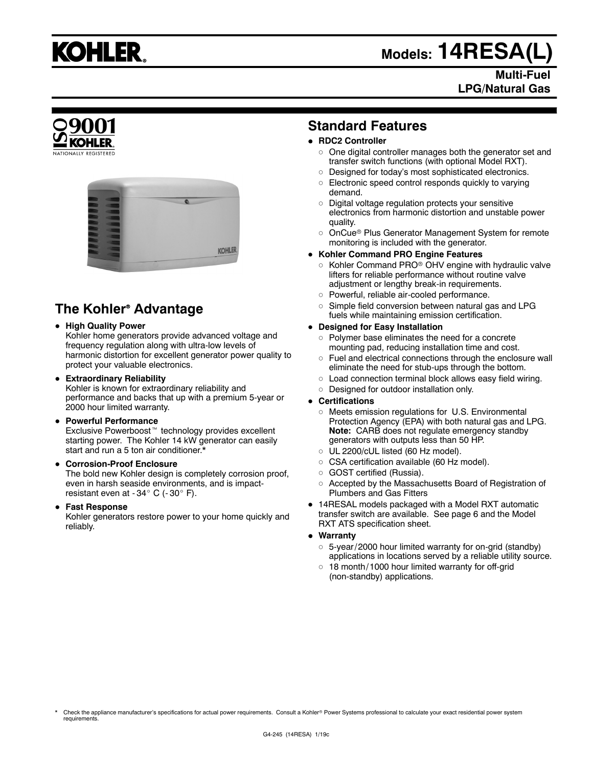

## **Models: 14RESA(L)**

#### **Multi-Fuel LPG/Natural Gas**



### **The Kohler<sup>®</sup> Advantage**

#### **• High Quality Power**

Kohler home generators provide advanced voltage and frequency regulation along with ultra-low levels of harmonic distortion for excellent generator power quality to protect your valuable electronics.

#### **• Extraordinary Reliability**

Kohler is known for extraordinary reliability and performance and backs that up with a premium 5-year or 2000 hour limited warranty.

#### **• Powerful Performance**

Exclusive Powerboost<sup>™</sup> technology provides excellent starting power. The Kohler 14 kW generator can easily start and run a 5 ton air conditioner.\*

#### **• Corrosion-Proof Enclosure**

The bold new Kohler design is completely corrosion proof, even in harsh seaside environments, and is impactresistant even at  $-34^\circ$  C ( $-30^\circ$  F).

#### **• Fast Response**

Kohler generators restore power to your home quickly and reliably.

#### **Standard Features**

#### **• RDC2 Controller**

- $\circ$  One digital controller manages both the generator set and transfer switch functions (with optional Model RXT).
- o Designed for today's most sophisticated electronics.
- $\circ$  Electronic speed control responds quickly to varying demand.
- $\circ$  Digital voltage regulation protects your sensitive electronics from harmonic distortion and unstable power quality.
- o OnCue<sup>®</sup> Plus Generator Management System for remote monitoring is included with the generator.

#### **• Kohler Command PRO Engine Features**

- $\circ$  Kohler Command PRO® OHV engine with hydraulic valve lifters for reliable performance without routine valve adjustment or lengthy break-in requirements.
- o Powerful, reliable air-cooled performance.
- $\circ$  Simple field conversion between natural gas and LPG fuels while maintaining emission certification.

#### **• Designed for Easy Installation**

- $\circ$  Polymer base eliminates the need for a concrete mounting pad, reducing installation time and cost.
- Fuel and electrical connections through the enclosure wall eliminate the need for stub-ups through the bottom.
- $\circ$  Load connection terminal block allows easy field wiring.
- o Designed for outdoor installation only.

#### **• Certifications**

- $\circ$  Meets emission regulations for U.S. Environmental Protection Agency (EPA) with both natural gas and LPG. **Note:** CARB does not regulate emergency standby generators with outputs less than 50 HP.
- o UL 2200/cUL listed (60 Hz model).
- o CSA certification available (60 Hz model).
- o GOST certified (Russia).
- o Accepted by the Massachusetts Board of Registration of Plumbers and Gas Fitters
- 14RESAL models packaged with a Model RXT automatic transfer switch are available. See page 6 and the Model RXT ATS specification sheet.
- Warranty
	- $\circ$  5-year/2000 hour limited warranty for on-grid (standby) applications in locations served by a reliable utility source.
	- 18 month/ 1000 hour limited warranty for off-grid (non-standby) applications.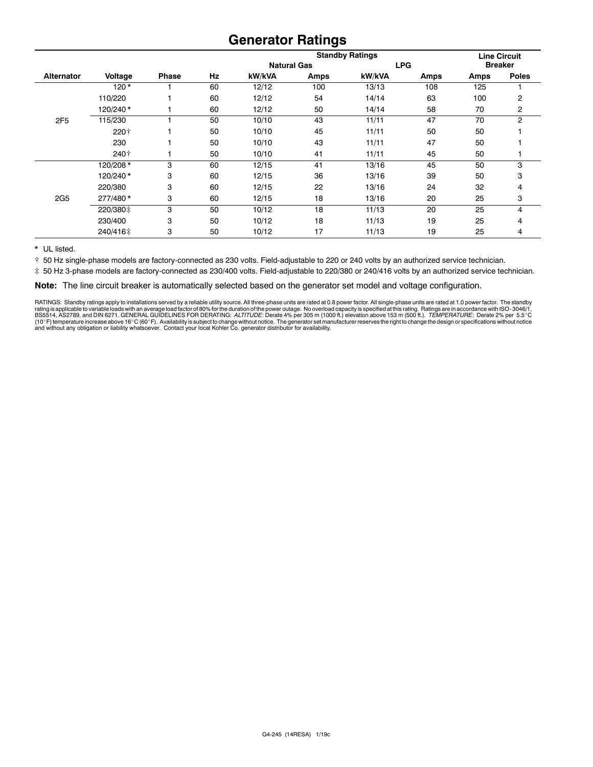#### **Generator Ratings**

|                   |          |              |    | <b>Standby Ratings</b> |             |            |      | <b>Line Circuit</b> |                |
|-------------------|----------|--------------|----|------------------------|-------------|------------|------|---------------------|----------------|
|                   |          |              |    | <b>Natural Gas</b>     |             | <b>LPG</b> |      | <b>Breaker</b>      |                |
| <b>Alternator</b> | Voltage  | <b>Phase</b> | Hz | kW/kVA                 | <b>Amps</b> | kW/kVA     | Amps | Amps                | <b>Poles</b>   |
|                   | $120*$   |              | 60 | 12/12                  | 100         | 13/13      | 108  | 125                 |                |
|                   | 110/220  |              | 60 | 12/12                  | 54          | 14/14      | 63   | 100                 | 2              |
|                   | 120/240* |              | 60 | 12/12                  | 50          | 14/14      | 58   | 70                  | 2              |
| 2F5               | 115/230  |              | 50 | 10/10                  | 43          | 11/11      | 47   | 70                  | $\overline{2}$ |
|                   | 220†     |              | 50 | 10/10                  | 45          | 11/11      | 50   | 50                  |                |
|                   | 230      |              | 50 | 10/10                  | 43          | 11/11      | 47   | 50                  |                |
|                   | 240†     |              | 50 | 10/10                  | 41          | 11/11      | 45   | 50                  |                |
|                   | 120/208* | 3            | 60 | 12/15                  | 41          | 13/16      | 45   | 50                  | 3              |
|                   | 120/240* | 3            | 60 | 12/15                  | 36          | 13/16      | 39   | 50                  | 3              |
|                   | 220/380  | 3            | 60 | 12/15                  | 22          | 13/16      | 24   | 32                  | 4              |
| 2G <sub>5</sub>   | 277/480* | 3            | 60 | 12/15                  | 18          | 13/16      | 20   | 25                  | 3              |
|                   | 220/380‡ | 3            | 50 | 10/12                  | 18          | 11/13      | 20   | 25                  | 4              |
|                   | 230/400  | 3            | 50 | 10/12                  | 18          | 11/13      | 19   | 25                  | 4              |
|                   | 240/416‡ | 3            | 50 | 10/12                  | 17          | 11/13      | 19   | 25                  | 4              |

\* UL listed.

[ 50 Hz single-phase models are factory-connected as 230 volts. Field-adjustable to 220 or 240 volts by an authorized service technician.

] 50 Hz 3-phase models are factory-connected as 230/400 volts. Field-adjustable to 220/380 or 240/416 volts by an authorized service technician.

**Note:** The line circuit breaker is automatically selected based on the generator set model and voltage configuration.

RATINGS: Standby ratings apply to installations served by a reliable utility source. All three-phase units are rated at 0.8 power factor. All single-phase units are rated at 1.0 power factor. The standby rating is applicable to variable loads with an average load factor of 80% for the duration of the power outage. No overload capacity is specified at this rating. Ratings are in accordance with ISO-3046/1,<br>BS5514, AS2789, a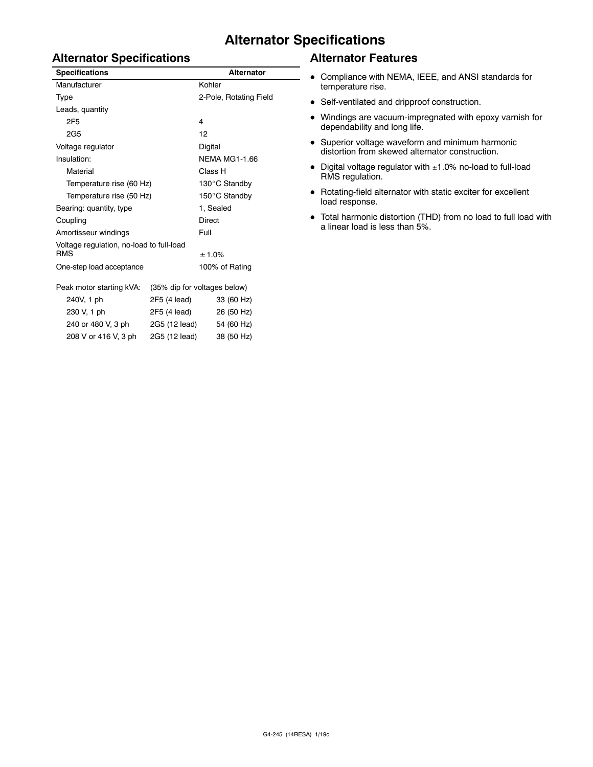#### **Alternator Specifications**

#### **Alternator Specifications**

| <b>Specifications</b>                                  | <b>Alternator</b>            |                        |  |  |
|--------------------------------------------------------|------------------------------|------------------------|--|--|
| Manufacturer                                           |                              | Kohler                 |  |  |
| Type                                                   |                              | 2-Pole, Rotating Field |  |  |
| Leads, quantity                                        |                              |                        |  |  |
| 2F5                                                    |                              | 4                      |  |  |
| 2G <sub>5</sub>                                        |                              | 12                     |  |  |
| Voltage regulator                                      |                              | Digital                |  |  |
| Insulation:                                            |                              | <b>NEMA MG1-1.66</b>   |  |  |
| Material                                               |                              | Class H                |  |  |
| Temperature rise (60 Hz)                               |                              | 130°C Standby          |  |  |
| Temperature rise (50 Hz)                               |                              | 150°C Standby          |  |  |
| Bearing: quantity, type                                |                              | 1, Sealed              |  |  |
| Coupling                                               |                              | <b>Direct</b>          |  |  |
| Amortisseur windings                                   |                              | Full                   |  |  |
| Voltage regulation, no-load to full-load<br><b>RMS</b> |                              | ± 1.0%                 |  |  |
| One-step load acceptance                               |                              | 100% of Rating         |  |  |
| Peak motor starting kVA:                               | (35% dip for voltages below) |                        |  |  |
| 240V, 1 ph                                             | 2F5 (4 lead)                 | 33 (60 Hz)             |  |  |
| 230 V, 1 ph                                            | 2F5 (4 lead)                 | 26 (50 Hz)             |  |  |
| 240 or 480 V, 3 ph                                     | 2G5 (12 lead)                | 54 (60 Hz)             |  |  |
| 208 V or 416 V, 3 ph                                   | 2G5 (12 lead)                | 38 (50 Hz)             |  |  |

#### **Alternator Features**

- Compliance with NEMA, IEEE, and ANSI standards for temperature rise.
- Self-ventilated and dripproof construction.
- $\bullet$  Windings are vacuum-impregnated with epoxy varnish for dependability and long life.
- Superior voltage waveform and minimum harmonic distortion from skewed alternator construction.
- $\bullet$  Digital voltage regulator with  $\pm 1.0\%$  no-load to full-load RMS regulation.
- $\bullet$  Rotating-field alternator with static exciter for excellent load response.
- Total harmonic distortion (THD) from no load to full load with a linear load is less than 5%.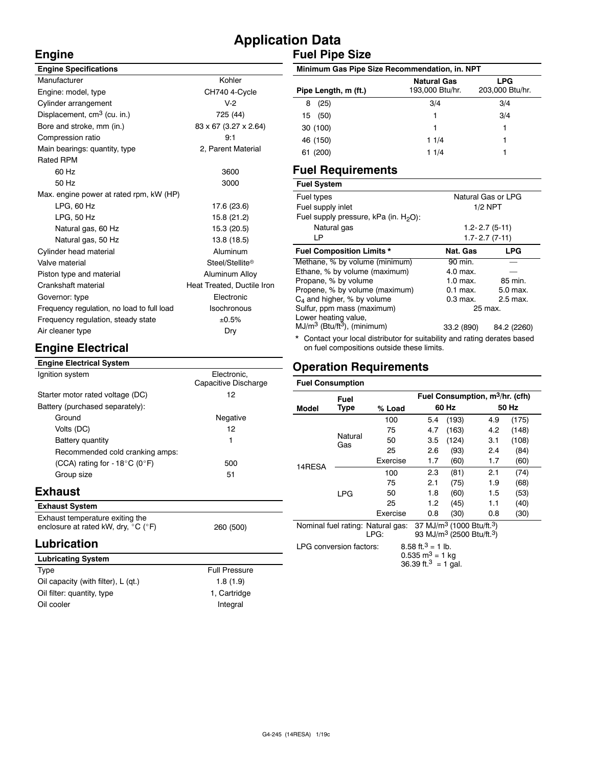#### **Application Data Fuel Pipe Size**

#### **Engine**

| <b>Engine Specifications</b>               |                            |  |  |
|--------------------------------------------|----------------------------|--|--|
| Manufacturer                               | Kohler                     |  |  |
| Engine: model, type                        | CH740 4-Cycle              |  |  |
| Cylinder arrangement                       | $V-2$                      |  |  |
| Displacement, cm <sup>3</sup> (cu. in.)    | 725 (44)                   |  |  |
| Bore and stroke, mm (in.)                  | 83 x 67 (3.27 x 2.64)      |  |  |
| Compression ratio                          | 9:1                        |  |  |
| Main bearings: quantity, type              | 2, Parent Material         |  |  |
| <b>Rated RPM</b>                           |                            |  |  |
| 60 Hz                                      | 3600                       |  |  |
| 50 Hz                                      | 3000                       |  |  |
| Max. engine power at rated rpm, kW (HP)    |                            |  |  |
| $LPG$ , 60 Hz                              | 17.6 (23.6)                |  |  |
| LPG, 50 Hz                                 | 15.8 (21.2)                |  |  |
| Natural gas, 60 Hz                         | 15.3 (20.5)                |  |  |
| Natural gas, 50 Hz                         | 13.8 (18.5)                |  |  |
| Cylinder head material                     | Aluminum                   |  |  |
| Valve material                             | Steel/Stellite®            |  |  |
| Piston type and material                   | Aluminum Alloy             |  |  |
| Crankshaft material                        | Heat Treated, Ductile Iron |  |  |
| Governor: type                             | Electronic                 |  |  |
| Frequency regulation, no load to full load | Isochronous                |  |  |
| Frequency regulation, steady state         | ±0.5%                      |  |  |
| Air cleaner type                           | Dry                        |  |  |
|                                            |                            |  |  |

#### **Minimum Gas Pipe Size Recommendation, in. NPT Pipe Length, m (ft.) Natural Gas** 193,000 Btu/hr. **LPG** 203,000 Btu/hr. 8 (25) 3/4 3/4 15 (50) 1 3/4 30 (100) 1 1 46 (150) 1 1/4 1 61 (200) 1 1/4 1

#### **Fuel Requirements**

| <b>Fuel System</b>                        |                   |                                                                           |  |  |  |
|-------------------------------------------|-------------------|---------------------------------------------------------------------------|--|--|--|
| Fuel types                                |                   | Natural Gas or LPG                                                        |  |  |  |
| Fuel supply inlet                         | $1/2$ NPT         |                                                                           |  |  |  |
| Fuel supply pressure, kPa (in. $H_2O$ ):  |                   |                                                                           |  |  |  |
| Natural gas                               | $1.2 - 2.7(5-11)$ |                                                                           |  |  |  |
| LP                                        |                   | $1.7 - 2.7(7 - 11)$                                                       |  |  |  |
| <b>Fuel Composition Limits *</b>          | Nat. Gas          | <b>LPG</b>                                                                |  |  |  |
| Methane, % by volume (minimum)            | 90 min.           |                                                                           |  |  |  |
| Ethane, % by volume (maximum)             | 4.0 max.          |                                                                           |  |  |  |
| Propane, % by volume                      | 1.0 max.          | 85 min.                                                                   |  |  |  |
| Propene, % by volume (maximum)            | $0.1$ max.        | 5.0 max.                                                                  |  |  |  |
| $C_4$ and higher, % by volume             | $0.3$ max.        | 2.5 max.                                                                  |  |  |  |
| Sulfur, ppm mass (maximum)                | 25 max.           |                                                                           |  |  |  |
| Lower heating value,                      |                   |                                                                           |  |  |  |
| $MJ/m3$ (Btu/ft <sup>3</sup> ), (minimum) | 33.2 (890)        | 84.2 (2260)                                                               |  |  |  |
|                                           |                   | * Contact your local distributor for suitability and rating derates based |  |  |  |

Contact your local distributor for suitability and rating derates based on fuel compositions outside these limits.

#### **Operation Requirements**

#### **Engine Electrical Engine Electrical System**

| Ignition system                         | Electronic.<br>Capacitive Discharge |
|-----------------------------------------|-------------------------------------|
| Starter motor rated voltage (DC)        | 12                                  |
| Battery (purchased separately):         |                                     |
| Ground                                  | Negative                            |
| Volts (DC)                              | 12                                  |
| Battery quantity                        | 1                                   |
| Recommended cold cranking amps:         |                                     |
| (CCA) rating for - $18^{\circ}$ C (0°F) | 500                                 |
| Group size                              | 51                                  |
| الممرود والمحال                         |                                     |

#### **Exhaust**

| <b>Exhaust System</b>                                                                       |           |
|---------------------------------------------------------------------------------------------|-----------|
| Exhaust temperature exiting the<br>enclosure at rated kW, dry, $^{\circ}$ C ( $^{\circ}$ F) | 260 (500) |

#### **Lubrication**

| <b>Lubricating System</b>           |                      |
|-------------------------------------|----------------------|
| Type                                | <b>Full Pressure</b> |
| Oil capacity (with filter), L (qt.) | 1.8(1.9)             |
| Oil filter: quantity, type          | 1, Cartridge         |
| Oil cooler                          | Integral             |

| <b>Fuel Consumption</b>                                                        |                |          |                                                   |       |                                                   |       |  |
|--------------------------------------------------------------------------------|----------------|----------|---------------------------------------------------|-------|---------------------------------------------------|-------|--|
| Fuel                                                                           |                |          | Fuel Consumption, m <sup>3</sup> /hr. (cfh)       |       |                                                   |       |  |
| Model                                                                          | Type           | % Load   | 60 Hz                                             |       |                                                   | 50 Hz |  |
|                                                                                |                | 100      | 5.4                                               | (193) | 4.9                                               | (175) |  |
|                                                                                |                | 75       | 4.7                                               | (163) | 4.2                                               | (148) |  |
|                                                                                | Natural<br>Gas | 50       | 3.5                                               | (124) | 3.1                                               | (108) |  |
|                                                                                |                | 25       | 2.6                                               | (93)  | 2.4                                               | (84)  |  |
|                                                                                |                | Exercise | 1.7                                               | (60)  | 1.7                                               | (60)  |  |
| 14RESA                                                                         |                | 100      | 2.3                                               | (81)  | 2.1                                               | (74)  |  |
|                                                                                |                | 75       | 2.1                                               | (75)  | 1.9                                               | (68)  |  |
|                                                                                | LPG            | 50       | 1.8                                               | (60)  | 1.5                                               | (53)  |  |
|                                                                                |                | 25       | 1.2                                               | (45)  | 1.1                                               | (40)  |  |
|                                                                                |                | Exercise | 0.8                                               | (30)  | 0.8                                               | (30)  |  |
| Nominal fuel rating: Natural gas:<br>LPG:                                      |                |          | 93 MJ/m <sup>3</sup> (2500 Btu/ft. <sup>3</sup> ) |       | 37 MJ/m <sup>3</sup> (1000 Btu/ft. <sup>3</sup> ) |       |  |
| 8.58 ft. $3 = 1$ lb.<br>LPG conversion factors:<br>0.535 m <sup>3</sup> = 1 kg |                |          |                                                   |       |                                                   |       |  |

36.39 ft.<sup>3</sup> = 1 gal.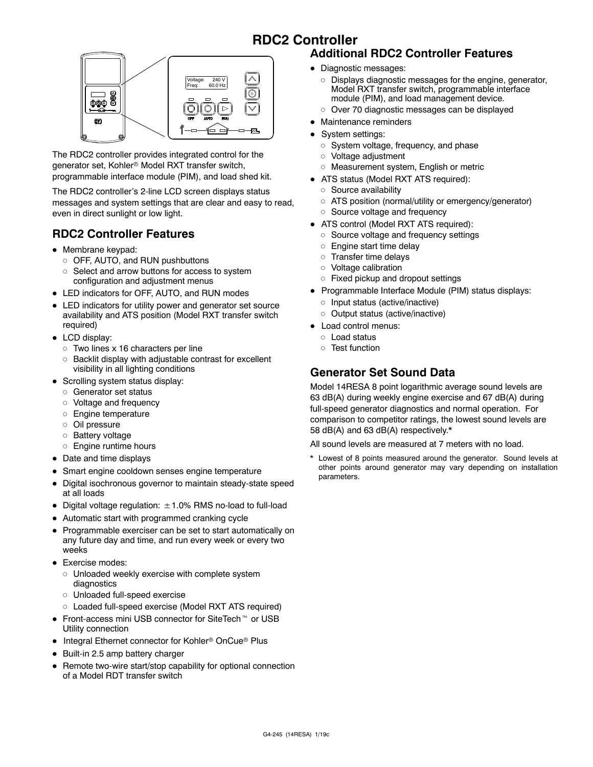#### **RDC2 Controller**



The RDC2 controller provides integrated control for the generator set, Kohler<sup>®</sup> Model RXT transfer switch, programmable interface module (PIM), and load shed kit.

The RDC2 controller's 2-line LCD screen displays status messages and system settings that are clear and easy to read, even in direct sunlight or low light.

#### **RDC2 Controller Features**

- Membrane keypad:
	- o OFF, AUTO, and RUN pushbuttons
	- o Select and arrow buttons for access to system configuration and adjustment menus
- LED indicators for OFF, AUTO, and RUN modes
- LED indicators for utility power and generator set source availability and ATS position (Model RXT transfer switch required)
- $\bullet$  LCD display:
	- $\circ$  Two lines x 16 characters per line
	- $\circ$  Backlit display with adjustable contrast for excellent visibility in all lighting conditions
- $\bullet$  Scrolling system status display:
	- o Generator set status
	- $\circ$  Voltage and frequency
	- d Engine temperature
	- $\circ$  Oil pressure
	- o Battery voltage
	- o Engine runtime hours
- Date and time displays
- Smart engine cooldown senses engine temperature
- Digital isochronous governor to maintain steady-state speed at all loads
- Digital voltage regulation:  $\pm$  1.0% RMS no-load to full-load
- Automatic start with programmed cranking cycle
- Programmable exerciser can be set to start automatically on any future day and time, and run every week or every two weeks
- Exercise modes:
	- $\circ$  Unloaded weekly exercise with complete system diagnostics
	- o Unloaded full-speed exercise
	- o Loaded full-speed exercise (Model RXT ATS required)
- Front-access mini USB connector for SiteTech<sup>™</sup> or USB Utility connection
- Integral Ethernet connector for Kohler<sup>®</sup> OnCue<sup>®</sup> Plus
- Built-in 2.5 amp battery charger
- Remote two-wire start/stop capability for optional connection of a Model RDT transfer switch

#### **Additional RDC2 Controller Features**

- Diagnostic messages:
	- o Displays diagnostic messages for the engine, generator, Model RXT transfer switch, programmable interface module (PIM), and load management device.
	- $\circ$  Over 70 diagnostic messages can be displayed
- Maintenance reminders
- System settings:
	- $\circ$  System voltage, frequency, and phase
	- o Voltage adjustment
	- o Measurement system, English or metric
- ATS status (Model RXT ATS required):
	- o Source availability
	- o ATS position (normal/utility or emergency/generator)
	- o Source voltage and frequency
- ATS control (Model RXT ATS required):
	- o Source voltage and frequency settings
	- $\circ$  Engine start time delay
	- $\circ$  Transfer time delays
	- o Voltage calibration
	- $\circ$  Fixed pickup and dropout settings
- Programmable Interface Module (PIM) status displays:
	- o Input status (active/inactive)
	- o Output status (active/inactive)
- Load control menus:
	- o Load status
	- o Test function

#### **Generator Set Sound Data**

Model 14RESA 8 point logarithmic average sound levels are 63 dB(A) during weekly engine exercise and 67 dB(A) during full-speed generator diagnostics and normal operation. For comparison to competitor ratings, the lowest sound levels are 58 dB(A) and 63 dB(A) respectively.\*

All sound levels are measured at 7 meters with no load.

Lowest of 8 points measured around the generator. Sound levels at other points around generator may vary depending on installation parameters.